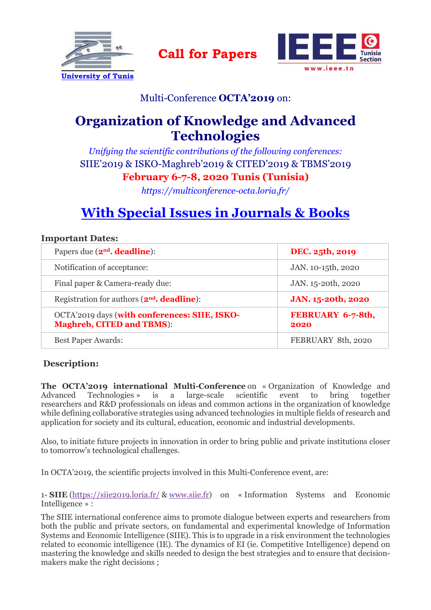



### Multi-Conference **OCTA'2019** on:

**Call for Papers**

## **Organization of Knowledge and Advanced Technologies**

*Unifying the scientific contributions of the following conferences:* SIIE'2019 & ISKO-Maghreb'2019 & CITED'2019 & TBMS'2019 **February 6-7-8, 2020 Tunis (Tunisia)**

*https://multiconference-octa.loria.fr/* 

# **With Special Issues in Journals & Books**

#### **Important Dates:**

| Papers due $(2nd$ . deadline):                                                    | DEC. 25th, 2019           |
|-----------------------------------------------------------------------------------|---------------------------|
| Notification of acceptance:                                                       | JAN. 10-15th, 2020        |
| Final paper & Camera-ready due:                                                   | JAN. 15-20th, 2020        |
| Registration for authors $(2nd$ <b>. deadline</b> ):                              | JAN. 15-20th, 2020        |
| OCTA'2019 days (with conferences: SIIE, ISKO-<br><b>Maghreb, CITED and TBMS):</b> | FEBRUARY 6-7-8th,<br>2020 |
| <b>Best Paper Awards:</b>                                                         | FEBRUARY 8th, 2020        |

#### **Description:**

**The OCTA'2019 international Multi-Conference** on « Organization of Knowledge and Advanced Technologies » is a large-scale scientific event to bring together Technologies » is a large-scale scientific event to bring together researchers and R&D professionals on ideas and common actions in the organization of knowledge while defining collaborative strategies using advanced technologies in multiple fields of research and application for society and its cultural, education, economic and industrial developments.

Also, to initiate future projects in innovation in order to bring public and private institutions closer to tomorrow's technological challenges.

In OCTA'2019, the scientific projects involved in this Multi-Conference event, are:

1- **SIIE** (https://siie2019.loria.fr/ & www.siie.fr) on « Information Systems and Economic Intelligence » :

The SIIE international conference aims to promote dialogue between experts and researchers from both the public and private sectors, on fundamental and experimental knowledge of Information Systems and Economic Intelligence (SIIE). This is to upgrade in a risk environment the technologies related to economic intelligence (IE). The dynamics of EI (ie. Competitive Intelligence) depend on mastering the knowledge and skills needed to design the best strategies and to ensure that decisionmakers make the right decisions ;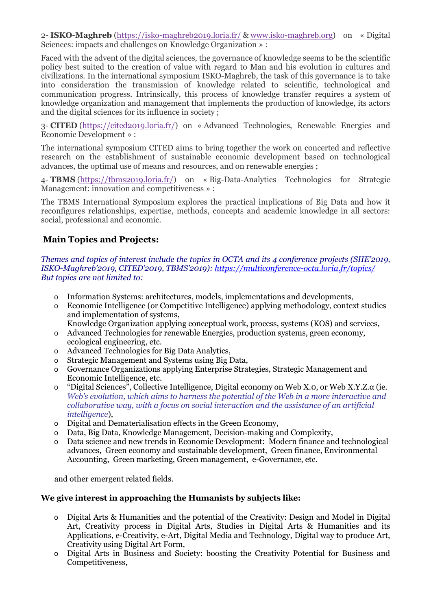2- **ISKO-Maghreb** (https://isko-maghreb2019.loria.fr/ & www.isko-maghreb.org) on « Digital Sciences: impacts and challenges on Knowledge Organization » :

Faced with the advent of the digital sciences, the governance of knowledge seems to be the scientific policy best suited to the creation of value with regard to Man and his evolution in cultures and civilizations. In the international symposium ISKO-Maghreb, the task of this governance is to take into consideration the transmission of knowledge related to scientific, technological and communication progress. Intrinsically, this process of knowledge transfer requires a system of knowledge organization and management that implements the production of knowledge, its actors and the digital sciences for its influence in society ;

3- **CITED** (https://cited2019.loria.fr/) on « Advanced Technologies, Renewable Energies and Economic Development » :

The international symposium CITED aims to bring together the work on concerted and reflective research on the establishment of sustainable economic development based on technological advances, the optimal use of means and resources, and on renewable energies ;

4- **TBMS** (https://tbms2019.loria.fr/) on « Big-Data-Analytics Technologies for Strategic Management: innovation and competitiveness » :

The TBMS International Symposium explores the practical implications of Big Data and how it reconfigures relationships, expertise, methods, concepts and academic knowledge in all sectors: social, professional and economic.

#### **Main Topics and Projects:**

*Themes and topics of interest include the topics in OCTA and its 4 conference projects (SIIE'2019, ISKO-Maghreb'2019, CITED'2019, TBMS'2019): https://multiconference-octa.loria.fr/topics/ But topics are not limited to:*

- o Information Systems: architectures, models, implementations and developments,
- o Economic Intelligence (or Competitive Intelligence) applying methodology, context studies and implementation of systems,
	- Knowledge Organization applying conceptual work, process, systems (KOS) and services,
- o Advanced Technologies for renewable Energies, production systems, green economy, ecological engineering, etc.
- o Advanced Technologies for Big Data Analytics,
- o Strategic Management and Systems using Big Data,
- o Governance Organizations applying Enterprise Strategies, Strategic Management and Economic Intelligence, etc.
- o "Digital Sciences", Collective Intelligence, Digital economy on Web X.0, or Web X.Y.Z.α (ie. *Web's evolution, which aims to harness the potential of the Web in a more interactive and collaborative way, with a focus on social interaction and the assistance of an artificial intelligence*),
- o Digital and Dematerialisation effects in the Green Economy,
- o Data, Big Data, Knowledge Management, Decision-making and Complexity,
- o Data science and new trends in Economic Development: Modern finance and technological advances, Green economy and sustainable development, Green finance, Environmental Accounting, Green marketing, Green management, e-Governance, etc.

and other emergent related fields.

#### **We give interest in approaching the Humanists by subjects like:**

- o Digital Arts & Humanities and the potential of the Creativity: Design and Model in Digital Art, Creativity process in Digital Arts, Studies in Digital Arts & Humanities and its Applications, e-Creativity, e-Art, Digital Media and Technology, Digital way to produce Art, Creativity using Digital Art Form,
- o Digital Arts in Business and Society: boosting the Creativity Potential for Business and Competitiveness,